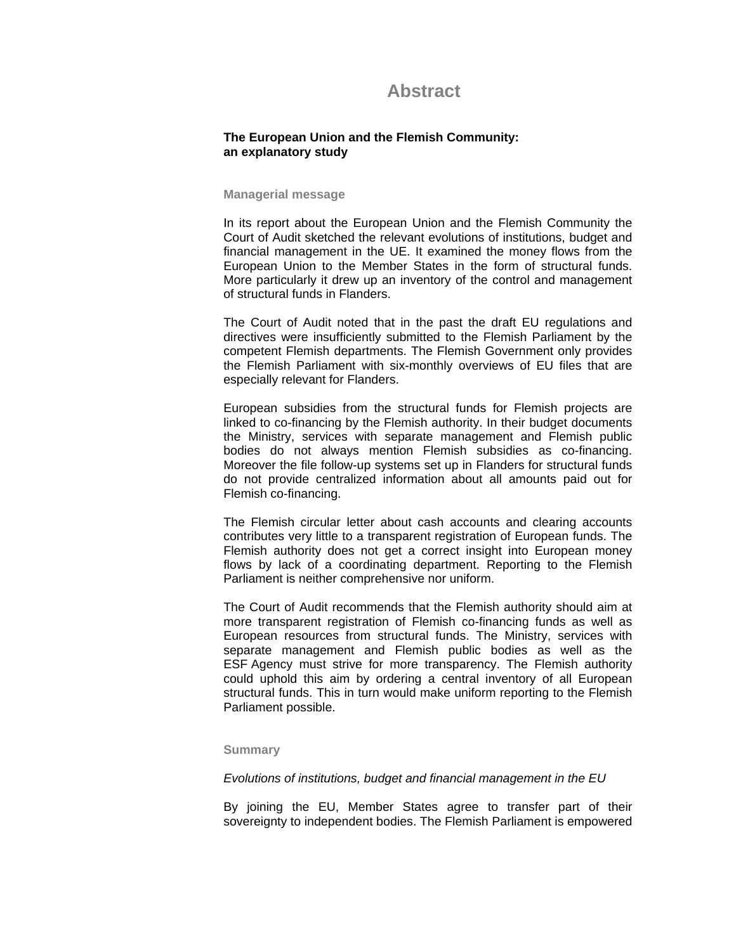# **Abstract**

# **The European Union and the Flemish Community: an explanatory study**

## **Managerial message**

In its report about the European Union and the Flemish Community the Court of Audit sketched the relevant evolutions of institutions, budget and financial management in the UE. It examined the money flows from the European Union to the Member States in the form of structural funds. More particularly it drew up an inventory of the control and management of structural funds in Flanders.

The Court of Audit noted that in the past the draft EU regulations and directives were insufficiently submitted to the Flemish Parliament by the competent Flemish departments. The Flemish Government only provides the Flemish Parliament with six-monthly overviews of EU files that are especially relevant for Flanders.

European subsidies from the structural funds for Flemish projects are linked to co-financing by the Flemish authority. In their budget documents the Ministry, services with separate management and Flemish public bodies do not always mention Flemish subsidies as co-financing. Moreover the file follow-up systems set up in Flanders for structural funds do not provide centralized information about all amounts paid out for Flemish co-financing.

The Flemish circular letter about cash accounts and clearing accounts contributes very little to a transparent registration of European funds. The Flemish authority does not get a correct insight into European money flows by lack of a coordinating department. Reporting to the Flemish Parliament is neither comprehensive nor uniform.

The Court of Audit recommends that the Flemish authority should aim at more transparent registration of Flemish co-financing funds as well as European resources from structural funds. The Ministry, services with separate management and Flemish public bodies as well as the ESF Agency must strive for more transparency. The Flemish authority could uphold this aim by ordering a central inventory of all European structural funds. This in turn would make uniform reporting to the Flemish Parliament possible.

#### **Summary**

#### *Evolutions of institutions, budget and financial management in the EU*

By joining the EU, Member States agree to transfer part of their sovereignty to independent bodies. The Flemish Parliament is empowered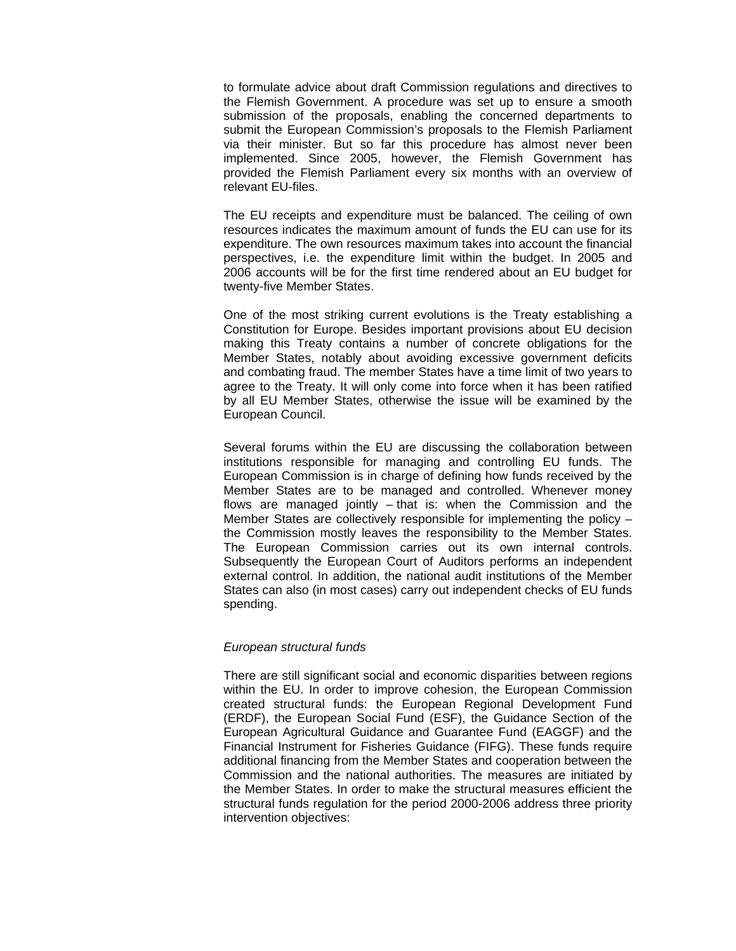to formulate advice about draft Commission regulations and directives to the Flemish Government. A procedure was set up to ensure a smooth submission of the proposals, enabling the concerned departments to submit the European Commission's proposals to the Flemish Parliament via their minister. But so far this procedure has almost never been implemented. Since 2005, however, the Flemish Government has provided the Flemish Parliament every six months with an overview of relevant EU-files.

The EU receipts and expenditure must be balanced. The ceiling of own resources indicates the maximum amount of funds the EU can use for its expenditure. The own resources maximum takes into account the financial perspectives, i.e. the expenditure limit within the budget. In 2005 and 2006 accounts will be for the first time rendered about an EU budget for twenty-five Member States.

One of the most striking current evolutions is the Treaty establishing a Constitution for Europe. Besides important provisions about EU decision making this Treaty contains a number of concrete obligations for the Member States, notably about avoiding excessive government deficits and combating fraud. The member States have a time limit of two years to agree to the Treaty. It will only come into force when it has been ratified by all EU Member States, otherwise the issue will be examined by the European Council.

Several forums within the EU are discussing the collaboration between institutions responsible for managing and controlling EU funds. The European Commission is in charge of defining how funds received by the Member States are to be managed and controlled. Whenever money flows are managed jointly – that is: when the Commission and the Member States are collectively responsible for implementing the policy – the Commission mostly leaves the responsibility to the Member States. The European Commission carries out its own internal controls. Subsequently the European Court of Auditors performs an independent external control. In addition, the national audit institutions of the Member States can also (in most cases) carry out independent checks of EU funds spending.

# *European structural funds*

There are still significant social and economic disparities between regions within the EU. In order to improve cohesion, the European Commission created structural funds: the European Regional Development Fund (ERDF), the European Social Fund (ESF), the Guidance Section of the European Agricultural Guidance and Guarantee Fund (EAGGF) and the Financial Instrument for Fisheries Guidance (FIFG). These funds require additional financing from the Member States and cooperation between the Commission and the national authorities. The measures are initiated by the Member States. In order to make the structural measures efficient the structural funds regulation for the period 2000-2006 address three priority intervention objectives: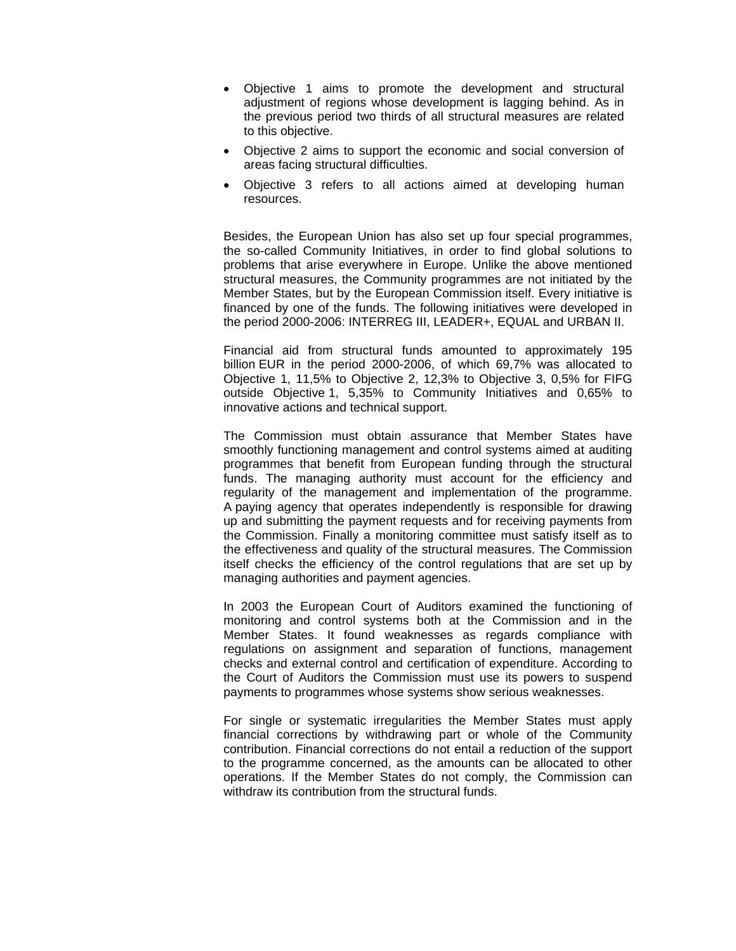- Objective 1 aims to promote the development and structural adjustment of regions whose development is lagging behind. As in the previous period two thirds of all structural measures are related to this objective.
- Objective 2 aims to support the economic and social conversion of areas facing structural difficulties.
- Objective 3 refers to all actions aimed at developing human resources.

Besides, the European Union has also set up four special programmes, the so-called Community Initiatives, in order to find global solutions to problems that arise everywhere in Europe. Unlike the above mentioned structural measures, the Community programmes are not initiated by the Member States, but by the European Commission itself. Every initiative is financed by one of the funds. The following initiatives were developed in the period 2000-2006: INTERREG III, LEADER+, EQUAL and URBAN II.

Financial aid from structural funds amounted to approximately 195 billion EUR in the period 2000-2006, of which 69,7% was allocated to Objective 1, 11,5% to Objective 2, 12,3% to Objective 3, 0,5% for FIFG outside Objective 1, 5,35% to Community Initiatives and 0,65% to innovative actions and technical support.

The Commission must obtain assurance that Member States have smoothly functioning management and control systems aimed at auditing programmes that benefit from European funding through the structural funds. The managing authority must account for the efficiency and regularity of the management and implementation of the programme. A paying agency that operates independently is responsible for drawing up and submitting the payment requests and for receiving payments from the Commission. Finally a monitoring committee must satisfy itself as to the effectiveness and quality of the structural measures. The Commission itself checks the efficiency of the control regulations that are set up by managing authorities and payment agencies.

In 2003 the European Court of Auditors examined the functioning of monitoring and control systems both at the Commission and in the Member States. It found weaknesses as regards compliance with regulations on assignment and separation of functions, management checks and external control and certification of expenditure. According to the Court of Auditors the Commission must use its powers to suspend payments to programmes whose systems show serious weaknesses.

For single or systematic irregularities the Member States must apply financial corrections by withdrawing part or whole of the Community contribution. Financial corrections do not entail a reduction of the support to the programme concerned, as the amounts can be allocated to other operations. If the Member States do not comply, the Commission can withdraw its contribution from the structural funds.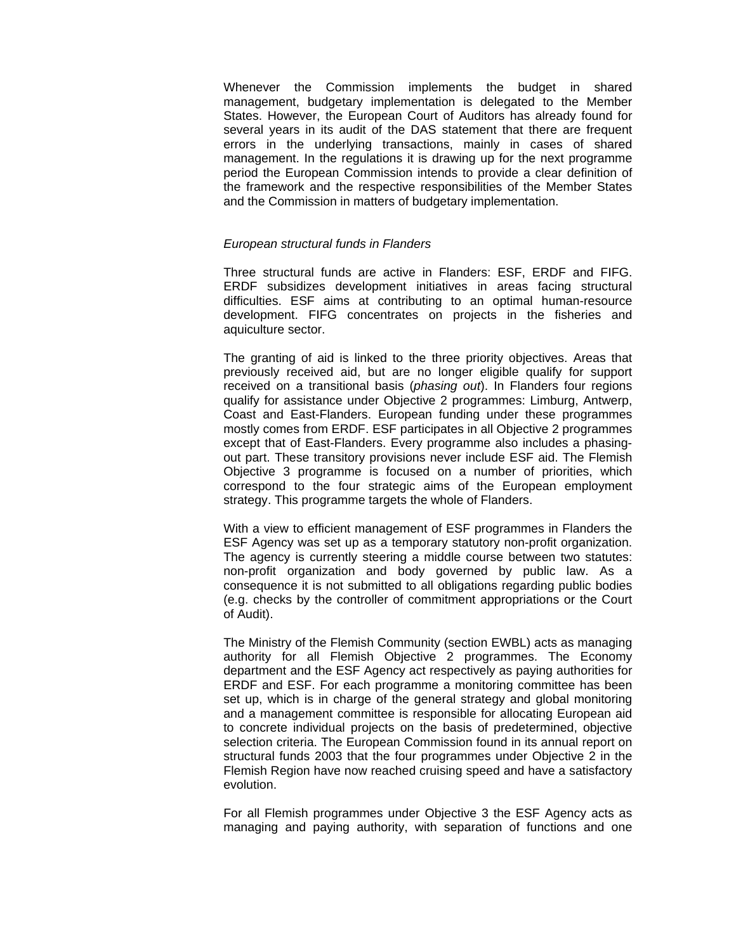Whenever the Commission implements the budget in shared management, budgetary implementation is delegated to the Member States. However, the European Court of Auditors has already found for several years in its audit of the DAS statement that there are frequent errors in the underlying transactions, mainly in cases of shared management. In the regulations it is drawing up for the next programme period the European Commission intends to provide a clear definition of the framework and the respective responsibilities of the Member States and the Commission in matters of budgetary implementation.

## *European structural funds in Flanders*

Three structural funds are active in Flanders: ESF, ERDF and FIFG. ERDF subsidizes development initiatives in areas facing structural difficulties. ESF aims at contributing to an optimal human-resource development. FIFG concentrates on projects in the fisheries and aquiculture sector.

The granting of aid is linked to the three priority objectives. Areas that previously received aid, but are no longer eligible qualify for support received on a transitional basis (*phasing out*). In Flanders four regions qualify for assistance under Objective 2 programmes: Limburg, Antwerp, Coast and East-Flanders. European funding under these programmes mostly comes from ERDF. ESF participates in all Objective 2 programmes except that of East-Flanders. Every programme also includes a phasingout part. These transitory provisions never include ESF aid. The Flemish Objective 3 programme is focused on a number of priorities, which correspond to the four strategic aims of the European employment strategy. This programme targets the whole of Flanders.

With a view to efficient management of ESF programmes in Flanders the ESF Agency was set up as a temporary statutory non-profit organization. The agency is currently steering a middle course between two statutes: non-profit organization and body governed by public law. As a consequence it is not submitted to all obligations regarding public bodies (e.g. checks by the controller of commitment appropriations or the Court of Audit).

The Ministry of the Flemish Community (section EWBL) acts as managing authority for all Flemish Objective 2 programmes. The Economy department and the ESF Agency act respectively as paying authorities for ERDF and ESF. For each programme a monitoring committee has been set up, which is in charge of the general strategy and global monitoring and a management committee is responsible for allocating European aid to concrete individual projects on the basis of predetermined, objective selection criteria. The European Commission found in its annual report on structural funds 2003 that the four programmes under Objective 2 in the Flemish Region have now reached cruising speed and have a satisfactory evolution.

For all Flemish programmes under Objective 3 the ESF Agency acts as managing and paying authority, with separation of functions and one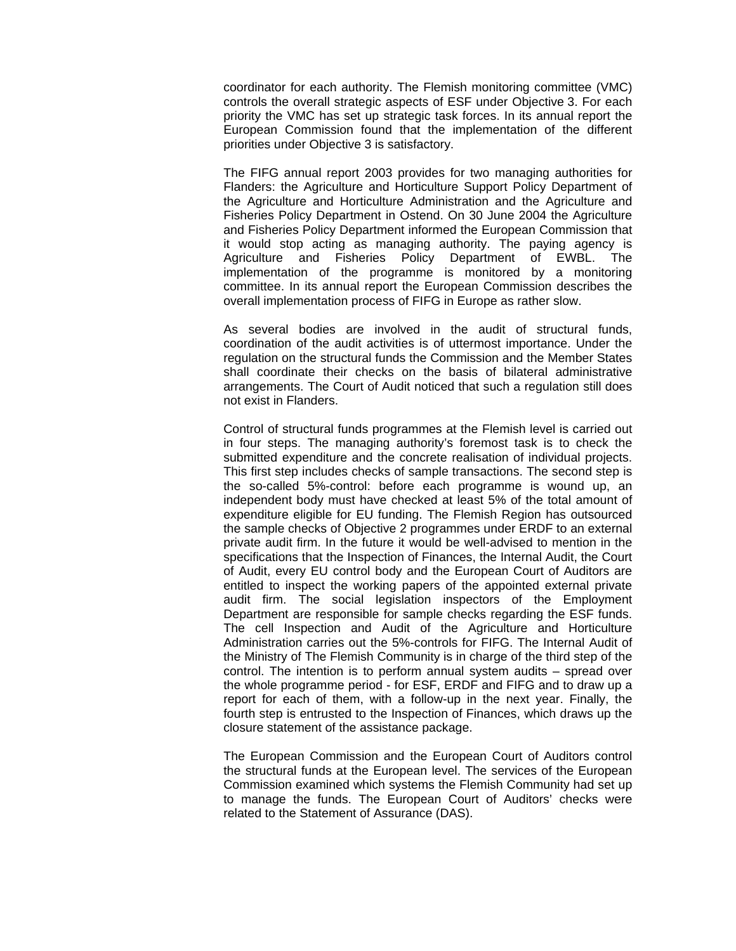coordinator for each authority. The Flemish monitoring committee (VMC) controls the overall strategic aspects of ESF under Objective 3. For each priority the VMC has set up strategic task forces. In its annual report the European Commission found that the implementation of the different priorities under Objective 3 is satisfactory.

The FIFG annual report 2003 provides for two managing authorities for Flanders: the Agriculture and Horticulture Support Policy Department of the Agriculture and Horticulture Administration and the Agriculture and Fisheries Policy Department in Ostend. On 30 June 2004 the Agriculture and Fisheries Policy Department informed the European Commission that it would stop acting as managing authority. The paying agency is Agriculture and Fisheries Policy Department of EWBL. The implementation of the programme is monitored by a monitoring committee. In its annual report the European Commission describes the overall implementation process of FIFG in Europe as rather slow.

As several bodies are involved in the audit of structural funds, coordination of the audit activities is of uttermost importance. Under the regulation on the structural funds the Commission and the Member States shall coordinate their checks on the basis of bilateral administrative arrangements. The Court of Audit noticed that such a regulation still does not exist in Flanders.

Control of structural funds programmes at the Flemish level is carried out in four steps. The managing authority's foremost task is to check the submitted expenditure and the concrete realisation of individual projects. This first step includes checks of sample transactions. The second step is the so-called 5%-control: before each programme is wound up, an independent body must have checked at least 5% of the total amount of expenditure eligible for EU funding. The Flemish Region has outsourced the sample checks of Objective 2 programmes under ERDF to an external private audit firm. In the future it would be well-advised to mention in the specifications that the Inspection of Finances, the Internal Audit, the Court of Audit, every EU control body and the European Court of Auditors are entitled to inspect the working papers of the appointed external private audit firm. The social legislation inspectors of the Employment Department are responsible for sample checks regarding the ESF funds. The cell Inspection and Audit of the Agriculture and Horticulture Administration carries out the 5%-controls for FIFG. The Internal Audit of the Ministry of The Flemish Community is in charge of the third step of the control. The intention is to perform annual system audits – spread over the whole programme period - for ESF, ERDF and FIFG and to draw up a report for each of them, with a follow-up in the next year. Finally, the fourth step is entrusted to the Inspection of Finances, which draws up the closure statement of the assistance package.

The European Commission and the European Court of Auditors control the structural funds at the European level. The services of the European Commission examined which systems the Flemish Community had set up to manage the funds. The European Court of Auditors' checks were related to the Statement of Assurance (DAS).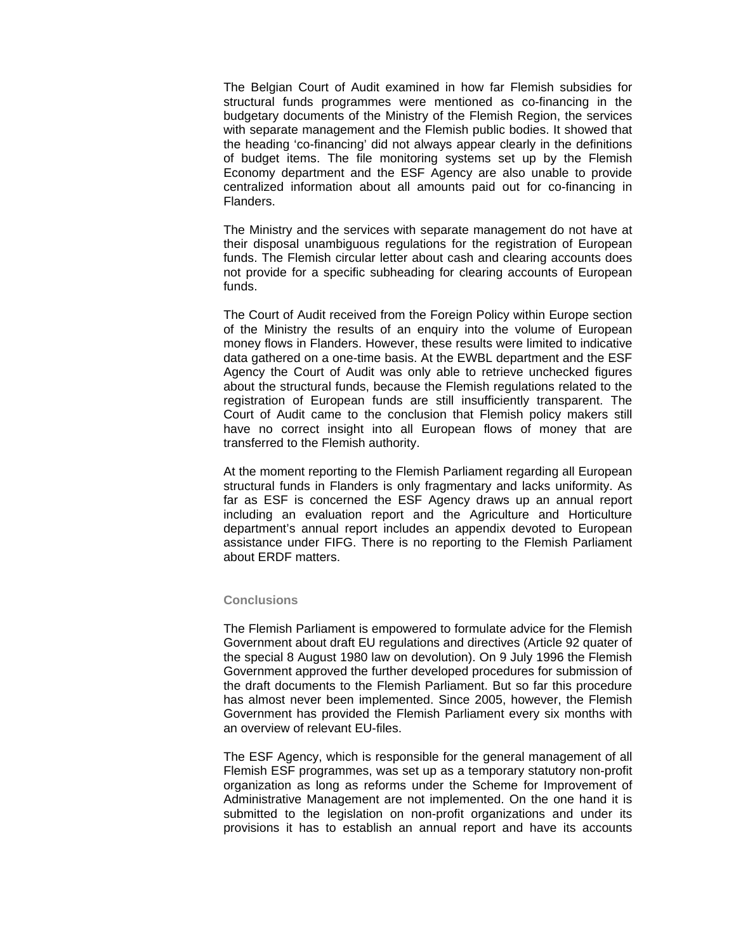The Belgian Court of Audit examined in how far Flemish subsidies for structural funds programmes were mentioned as co-financing in the budgetary documents of the Ministry of the Flemish Region, the services with separate management and the Flemish public bodies. It showed that the heading 'co-financing' did not always appear clearly in the definitions of budget items. The file monitoring systems set up by the Flemish Economy department and the ESF Agency are also unable to provide centralized information about all amounts paid out for co-financing in Flanders.

The Ministry and the services with separate management do not have at their disposal unambiguous regulations for the registration of European funds. The Flemish circular letter about cash and clearing accounts does not provide for a specific subheading for clearing accounts of European funds.

The Court of Audit received from the Foreign Policy within Europe section of the Ministry the results of an enquiry into the volume of European money flows in Flanders. However, these results were limited to indicative data gathered on a one-time basis. At the EWBL department and the ESF Agency the Court of Audit was only able to retrieve unchecked figures about the structural funds, because the Flemish regulations related to the registration of European funds are still insufficiently transparent. The Court of Audit came to the conclusion that Flemish policy makers still have no correct insight into all European flows of money that are transferred to the Flemish authority.

At the moment reporting to the Flemish Parliament regarding all European structural funds in Flanders is only fragmentary and lacks uniformity. As far as ESF is concerned the ESF Agency draws up an annual report including an evaluation report and the Agriculture and Horticulture department's annual report includes an appendix devoted to European assistance under FIFG. There is no reporting to the Flemish Parliament about ERDF matters.

## **Conclusions**

The Flemish Parliament is empowered to formulate advice for the Flemish Government about draft EU regulations and directives (Article 92 quater of the special 8 August 1980 law on devolution). On 9 July 1996 the Flemish Government approved the further developed procedures for submission of the draft documents to the Flemish Parliament. But so far this procedure has almost never been implemented. Since 2005, however, the Flemish Government has provided the Flemish Parliament every six months with an overview of relevant EU-files.

The ESF Agency, which is responsible for the general management of all Flemish ESF programmes, was set up as a temporary statutory non-profit organization as long as reforms under the Scheme for Improvement of Administrative Management are not implemented. On the one hand it is submitted to the legislation on non-profit organizations and under its provisions it has to establish an annual report and have its accounts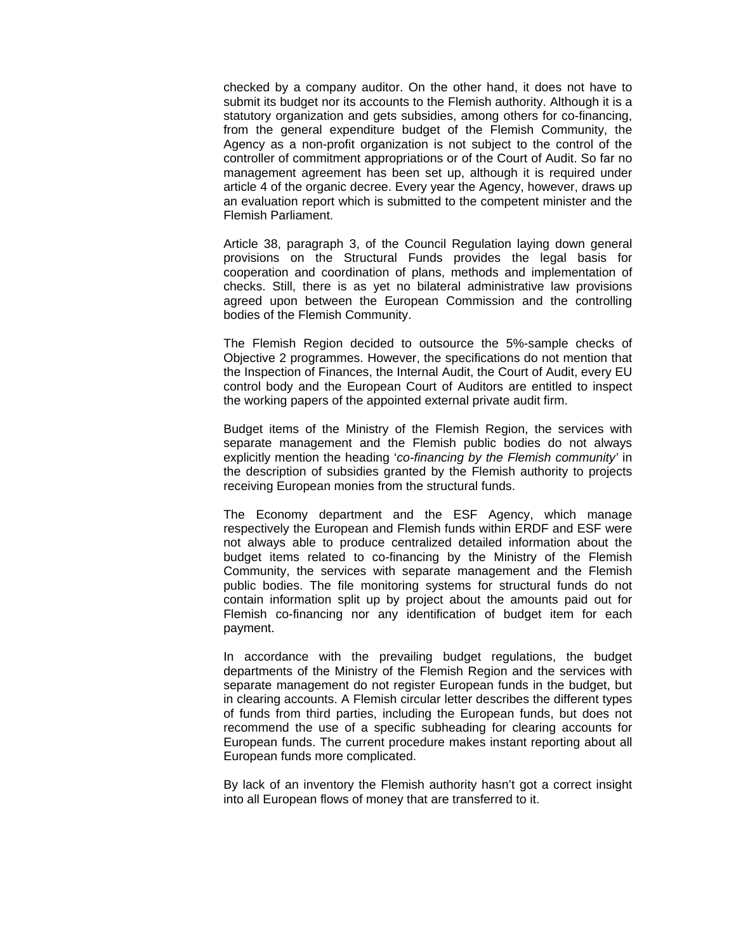checked by a company auditor. On the other hand, it does not have to submit its budget nor its accounts to the Flemish authority. Although it is a statutory organization and gets subsidies, among others for co-financing, from the general expenditure budget of the Flemish Community, the Agency as a non-profit organization is not subject to the control of the controller of commitment appropriations or of the Court of Audit. So far no management agreement has been set up, although it is required under article 4 of the organic decree. Every year the Agency, however, draws up an evaluation report which is submitted to the competent minister and the Flemish Parliament.

Article 38, paragraph 3, of the Council Regulation laying down general provisions on the Structural Funds provides the legal basis for cooperation and coordination of plans, methods and implementation of checks. Still, there is as yet no bilateral administrative law provisions agreed upon between the European Commission and the controlling bodies of the Flemish Community.

The Flemish Region decided to outsource the 5%-sample checks of Objective 2 programmes. However, the specifications do not mention that the Inspection of Finances, the Internal Audit, the Court of Audit, every EU control body and the European Court of Auditors are entitled to inspect the working papers of the appointed external private audit firm.

Budget items of the Ministry of the Flemish Region, the services with separate management and the Flemish public bodies do not always explicitly mention the heading '*co-financing by the Flemish community'* in the description of subsidies granted by the Flemish authority to projects receiving European monies from the structural funds.

The Economy department and the ESF Agency, which manage respectively the European and Flemish funds within ERDF and ESF were not always able to produce centralized detailed information about the budget items related to co-financing by the Ministry of the Flemish Community, the services with separate management and the Flemish public bodies. The file monitoring systems for structural funds do not contain information split up by project about the amounts paid out for Flemish co-financing nor any identification of budget item for each payment.

In accordance with the prevailing budget regulations, the budget departments of the Ministry of the Flemish Region and the services with separate management do not register European funds in the budget, but in clearing accounts. A Flemish circular letter describes the different types of funds from third parties, including the European funds, but does not recommend the use of a specific subheading for clearing accounts for European funds. The current procedure makes instant reporting about all European funds more complicated.

By lack of an inventory the Flemish authority hasn't got a correct insight into all European flows of money that are transferred to it.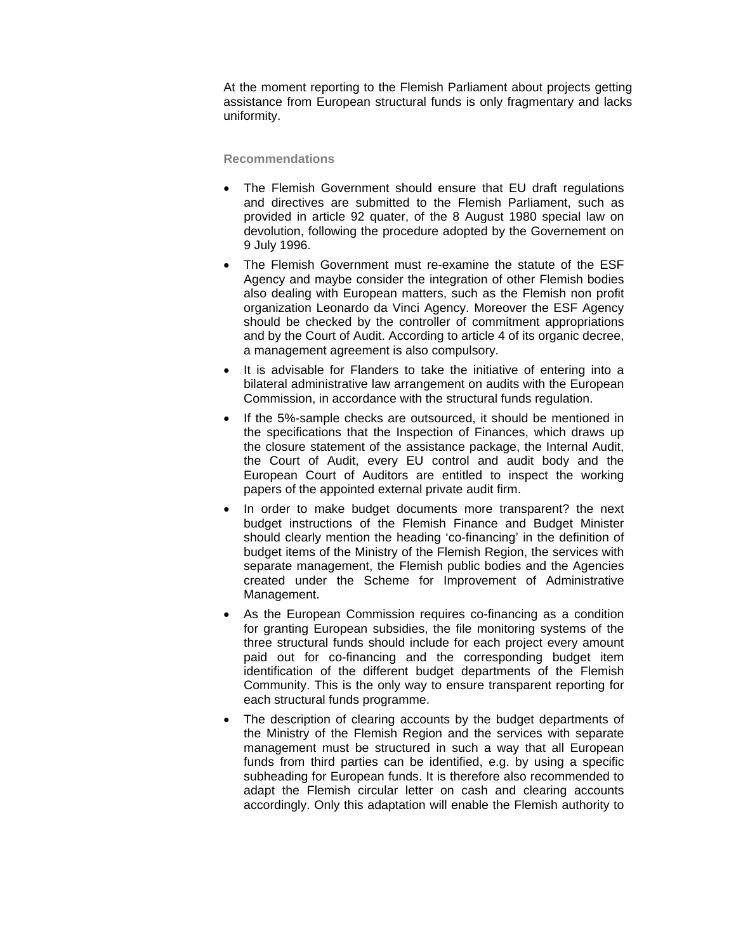At the moment reporting to the Flemish Parliament about projects getting assistance from European structural funds is only fragmentary and lacks uniformity.

# **Recommendations**

- The Flemish Government should ensure that EU draft regulations and directives are submitted to the Flemish Parliament, such as provided in article 92 quater, of the 8 August 1980 special law on devolution, following the procedure adopted by the Governement on 9 July 1996.
- The Flemish Government must re-examine the statute of the ESF Agency and maybe consider the integration of other Flemish bodies also dealing with European matters, such as the Flemish non profit organization Leonardo da Vinci Agency. Moreover the ESF Agency should be checked by the controller of commitment appropriations and by the Court of Audit. According to article 4 of its organic decree, a management agreement is also compulsory.
- It is advisable for Flanders to take the initiative of entering into a bilateral administrative law arrangement on audits with the European Commission, in accordance with the structural funds regulation.
- If the 5%-sample checks are outsourced, it should be mentioned in the specifications that the Inspection of Finances, which draws up the closure statement of the assistance package, the Internal Audit, the Court of Audit, every EU control and audit body and the European Court of Auditors are entitled to inspect the working papers of the appointed external private audit firm.
- In order to make budget documents more transparent? the next budget instructions of the Flemish Finance and Budget Minister should clearly mention the heading 'co-financing' in the definition of budget items of the Ministry of the Flemish Region, the services with separate management, the Flemish public bodies and the Agencies created under the Scheme for Improvement of Administrative Management.
- As the European Commission requires co-financing as a condition for granting European subsidies, the file monitoring systems of the three structural funds should include for each project every amount paid out for co-financing and the corresponding budget item identification of the different budget departments of the Flemish Community. This is the only way to ensure transparent reporting for each structural funds programme.
- The description of clearing accounts by the budget departments of the Ministry of the Flemish Region and the services with separate management must be structured in such a way that all European funds from third parties can be identified, e.g. by using a specific subheading for European funds. It is therefore also recommended to adapt the Flemish circular letter on cash and clearing accounts accordingly. Only this adaptation will enable the Flemish authority to